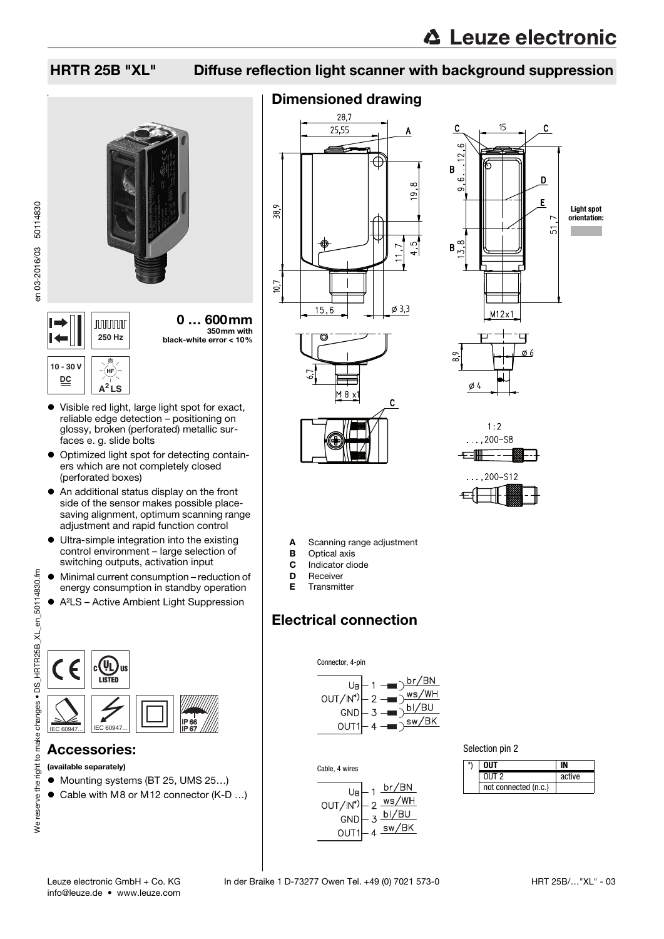# HRTR 25B "XL" Diffuse reflection light scanner with background suppression







### Visible red light, large light spot for exact, reliable edge detection – positioning on glossy, broken (perforated) metallic surfaces e. g. slide bolts

**A<sup>2</sup> LS**

- Optimized light spot for detecting containers which are not completely closed (perforated boxes)
- An additional status display on the front side of the sensor makes possible placesaving alignment, optimum scanning range adjustment and rapid function control
- Ultra-simple integration into the existing control environment – large selection of switching outputs, activation input
- Minimal current consumption reduction of energy consumption in standby operation
- A²LS Active Ambient Light Suppression



## Accessories:

- (available separately)
- Mounting systems (BT 25, UMS 25...)
- Cable with M8 or M12 connector (K-D ...)

# Dimensioned drawing









A Scanning range adjustment

- **B** Optical axis
- C Indicator diode
- **D** Receiver
- E Transmitter

# Electrical connection







| NIIT                 |        |
|----------------------|--------|
| $0$ IJT $2$          | active |
| not connected (n.c.) |        |

We reserve the right to make changes • DS\_HRTR25B\_XL\_en\_50114830.fm a to make changes . DS\_HRTR25B\_XL\_en\_50114830.fm We reserve the right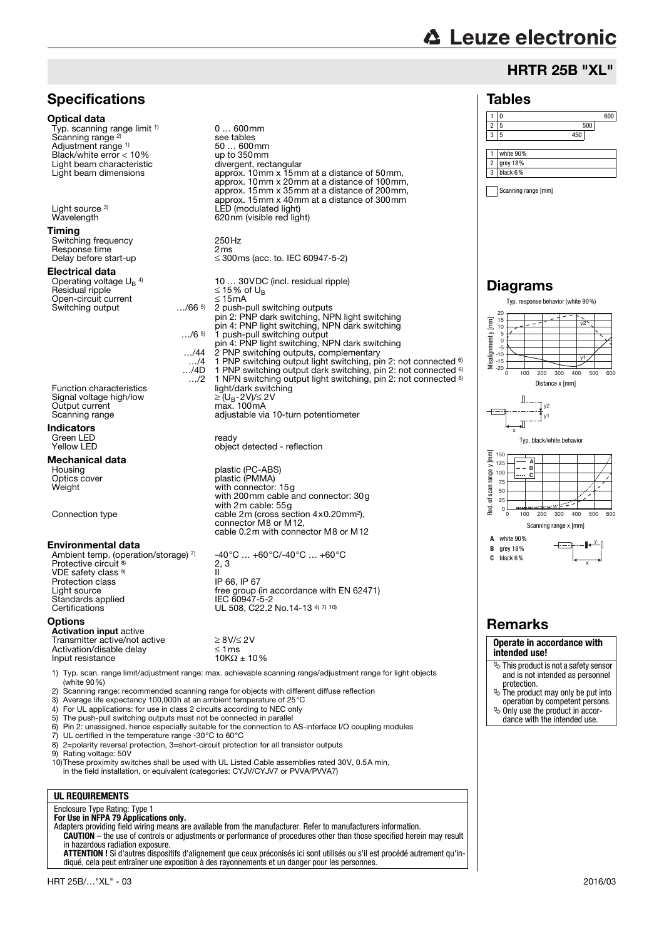# **△ Leuze electronic**

# HRTR 25B "XL"

### Tables

### 1 0 600 2 5 500 3 5 450 1 white 90% 2 grey 18% 3 black 6%

Scanning range [mm]

# Diagrams



**Operate in accordance with intended use!**

- This product is not a safety sensor and is not intended as personnel
- protection. The product may only be put into operation by competent persons.
- $\ddot{\phi}$  Only use the product in accor-
- dance with the intended use.



Adjustment range 1) 50 … 600mm

**Specifications** 

Typ. scanning range limit <sup>1)</sup>

Optical data

Scanning range<sup>2)</sup>

1) Typ. scan. range limit/adjustment range: max. achievable scanning range/adjustment range for light objects (white 90%)

0 … 600mm

see tables<br>50 ... 600mm

- 2) Scanning range: recommended scanning range for objects with different diffuse reflection 3) Average life expectancy 100,000 h at an ambient temperature of 25 °C
- 3) Average life expectancy 100,000h at an ambient temperature of 25°C
- 4) For UL applications: for use in class 2 circuits according to NEC only
- 5) The push-pull switching outputs must not be connected in parallel  $6$ ) Pin 2: unassigned, hence especially suitable for the connection to
- 6) Pin 2: unassigned, hence especially suitable for the connection to AS-interface I/O coupling modules<br>
7) UI certified in the temperature range -30°C to 60°C
- 7) UL certified in the temperature range -30 $^{\circ}$ C to 60 $^{\circ}$ C 8) 2=polarity reversal protection. 3=short-circuit protection
- 8) 2=polarity reversal protection, 3=short-circuit protection for all transistor outputs<br>9) Rating voltage: 50V
- Rating voltage: 50V

10)These proximity switches shall be used with UL Listed Cable assemblies rated 30V, 0.5A min, in the field installation, or equivalent (categories: CYJV/CYJV7 or PVVA/PVVA7)

### **UL REQUIREMENTS**

# Enclosure Type Rating: Type 1 **For Use in NFPA 79 Applications only.**

Adapters providing field wiring means are available from the manufacturer. Refer to manufacturers information. **CAUTION** – the use of controls or adjustments or performance of procedures other than those specified herein may result

in hazardous radiation exposure. **ATTENTION !** Si d'autres dispositifs d'alignement que ceux préconisés ici sont utilisés ou s'il est procédé autrement qu'indiqué, cela peut entraîner une exposition à des rayonnements et un danger pour les personnes.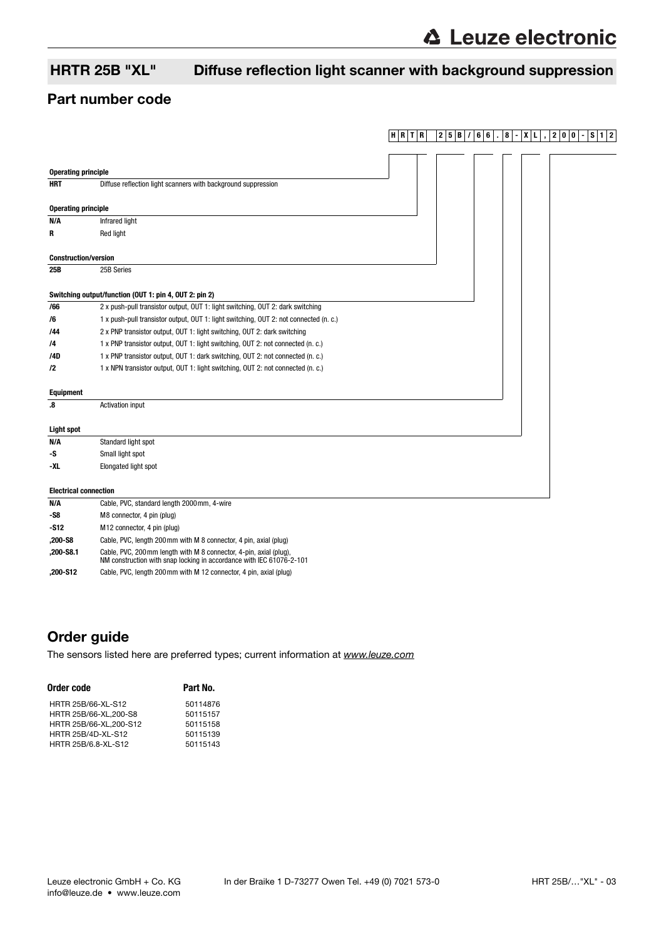# HRTR 25B "XL" Diffuse reflection light scanner with background suppression

# Part number code

|                              |                                                                                                                                            | $H$ RTR | 2 5<br>В | 6<br>6 | 8 | 0<br>2<br>0 | S<br>$\overline{2}$<br>1 <sup>1</sup> |
|------------------------------|--------------------------------------------------------------------------------------------------------------------------------------------|---------|----------|--------|---|-------------|---------------------------------------|
|                              |                                                                                                                                            |         |          |        |   |             |                                       |
| <b>Operating principle</b>   |                                                                                                                                            |         |          |        |   |             |                                       |
| <b>HRT</b>                   | Diffuse reflection light scanners with background suppression                                                                              |         |          |        |   |             |                                       |
|                              |                                                                                                                                            |         |          |        |   |             |                                       |
| <b>Operating principle</b>   |                                                                                                                                            |         |          |        |   |             |                                       |
| N/A                          | Infrared light                                                                                                                             |         |          |        |   |             |                                       |
| R                            | Red light                                                                                                                                  |         |          |        |   |             |                                       |
| <b>Construction/version</b>  |                                                                                                                                            |         |          |        |   |             |                                       |
| 25B                          | 25B Series                                                                                                                                 |         |          |        |   |             |                                       |
|                              |                                                                                                                                            |         |          |        |   |             |                                       |
|                              | Switching output/function (OUT 1: pin 4, OUT 2: pin 2)                                                                                     |         |          |        |   |             |                                       |
| /66                          | 2 x push-pull transistor output, OUT 1: light switching, OUT 2: dark switching                                                             |         |          |        |   |             |                                       |
| /6                           | 1 x push-pull transistor output, OUT 1: light switching, OUT 2: not connected (n. c.)                                                      |         |          |        |   |             |                                       |
| /44                          | 2 x PNP transistor output, OUT 1: light switching, OUT 2: dark switching                                                                   |         |          |        |   |             |                                       |
| /4                           | 1 x PNP transistor output, OUT 1: light switching, OUT 2: not connected (n. c.)                                                            |         |          |        |   |             |                                       |
| /4D                          | 1 x PNP transistor output, OUT 1: dark switching, OUT 2: not connected (n. c.)                                                             |         |          |        |   |             |                                       |
| $\sqrt{2}$                   | 1 x NPN transistor output, OUT 1: light switching, OUT 2: not connected (n. c.)                                                            |         |          |        |   |             |                                       |
| <b>Equipment</b>             |                                                                                                                                            |         |          |        |   |             |                                       |
| $\boldsymbol{.8}$            | <b>Activation input</b>                                                                                                                    |         |          |        |   |             |                                       |
|                              |                                                                                                                                            |         |          |        |   |             |                                       |
| <b>Light spot</b>            |                                                                                                                                            |         |          |        |   |             |                                       |
| N/A                          | Standard light spot                                                                                                                        |         |          |        |   |             |                                       |
| -S                           | Small light spot                                                                                                                           |         |          |        |   |             |                                       |
| -XL                          | Elongated light spot                                                                                                                       |         |          |        |   |             |                                       |
| <b>Electrical connection</b> |                                                                                                                                            |         |          |        |   |             |                                       |
| N/A                          | Cable, PVC, standard length 2000mm, 4-wire                                                                                                 |         |          |        |   |             |                                       |
| -S8                          | M8 connector, 4 pin (plug)                                                                                                                 |         |          |        |   |             |                                       |
| -S12                         | M12 connector, 4 pin (plug)                                                                                                                |         |          |        |   |             |                                       |
| ,200-S8                      | Cable, PVC, length 200mm with M 8 connector, 4 pin, axial (plug)                                                                           |         |          |        |   |             |                                       |
| ,200-S8.1                    | Cable, PVC, 200 mm length with M 8 connector, 4-pin, axial (plug),<br>NM construction with snap locking in accordance with IEC 61076-2-101 |         |          |        |   |             |                                       |

**,200-S12** Cable, PVC, length 200mm with M 12 connector, 4 pin, axial (plug)

# Order guide

[The sensors listed here are preferred types; current information at](http://www.leuze.com) www.leuze.com

| Order code                | Part No. |  |  |  |  |
|---------------------------|----------|--|--|--|--|
| HRTR 25B/66-XL-S12        | 50114876 |  |  |  |  |
| HRTR 25B/66-XL, 200-S8    | 50115157 |  |  |  |  |
| HRTR 25B/66-XL, 200-S12   | 50115158 |  |  |  |  |
| <b>HRTR 25B/4D-XL-S12</b> | 50115139 |  |  |  |  |
| HRTR 25B/6.8-XL-S12       | 50115143 |  |  |  |  |
|                           |          |  |  |  |  |